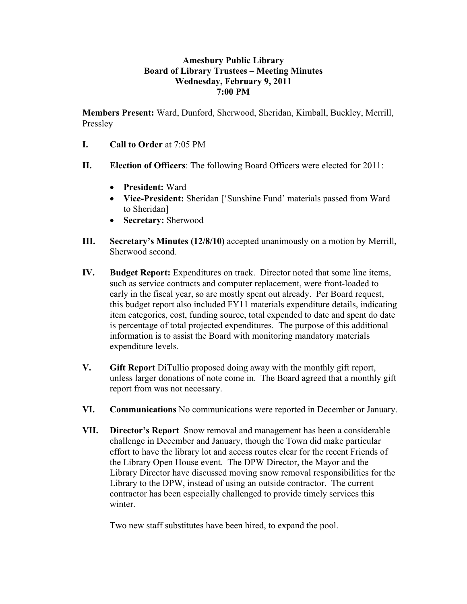## **Amesbury Public Library Board of Library Trustees – Meeting Minutes Wednesday, February 9, 2011 7:00 PM**

**Members Present:** Ward, Dunford, Sherwood, Sheridan, Kimball, Buckley, Merrill, Pressley

- **I. Call to Order** at 7:05 PM
- **II. Election of Officers**: The following Board Officers were elected for 2011:
	- **President:** Ward
	- **Vice-President:** Sheridan ['Sunshine Fund' materials passed from Ward to Sheridan]
	- **Secretary:** Sherwood
- **III. Secretary's Minutes (12/8/10)** accepted unanimously on a motion by Merrill, Sherwood second.
- **IV. Budget Report:** Expenditures on track. Director noted that some line items, such as service contracts and computer replacement, were front-loaded to early in the fiscal year, so are mostly spent out already. Per Board request, this budget report also included FY11 materials expenditure details, indicating item categories, cost, funding source, total expended to date and spent do date is percentage of total projected expenditures. The purpose of this additional information is to assist the Board with monitoring mandatory materials expenditure levels.
- **V. Gift Report** DiTullio proposed doing away with the monthly gift report, unless larger donations of note come in. The Board agreed that a monthly gift report from was not necessary.
- **VI. Communications** No communications were reported in December or January.
- **VII. Director's Report** Snow removal and management has been a considerable challenge in December and January, though the Town did make particular effort to have the library lot and access routes clear for the recent Friends of the Library Open House event. The DPW Director, the Mayor and the Library Director have discussed moving snow removal responsibilities for the Library to the DPW, instead of using an outside contractor. The current contractor has been especially challenged to provide timely services this winter.

Two new staff substitutes have been hired, to expand the pool.